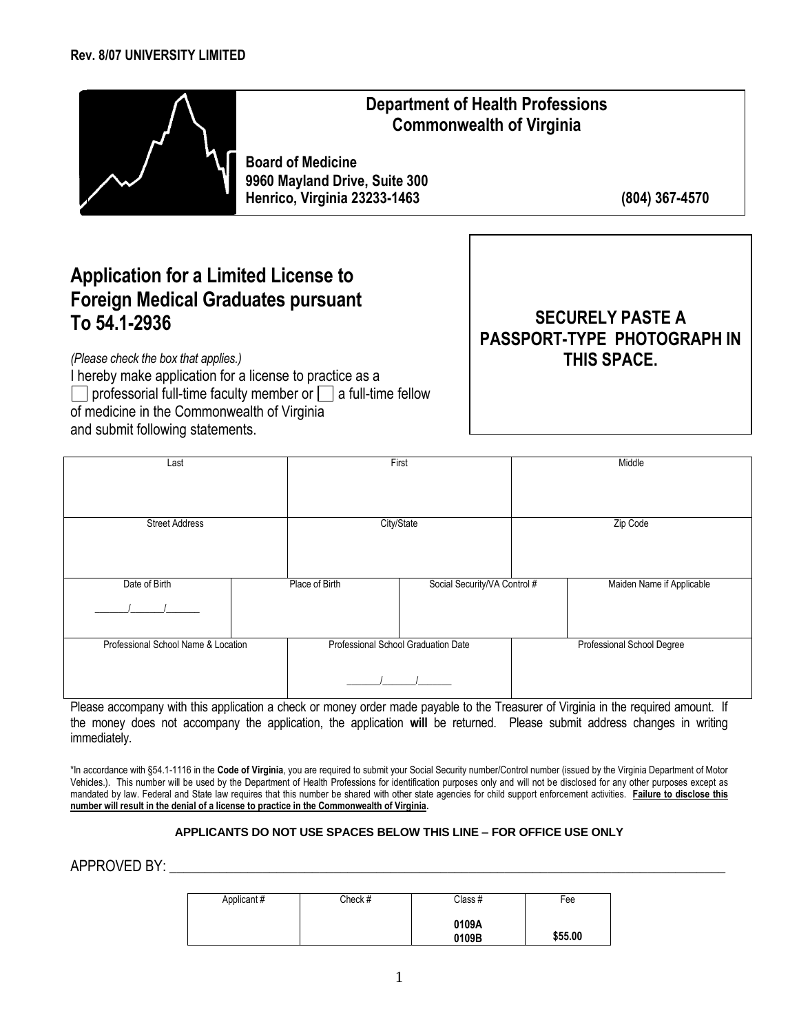## **Rev. 8/07 UNIVERSITY LIMITED**

## **Department of Health Professions Commonwealth of Virginia**



**Board of Medicine 9960 Mayland Drive, Suite 300 Henrico, Virginia 23233-1463 (804) 367-4570**

## **Application for a Limited License to Foreign Medical Graduates pursuant To 54.1-2936**

*(Please check the box that applies.)*

I hereby make application for a license to practice as a

 $\Box$  professorial full-time faculty member or  $\Box$  a full-time fellow

of medicine in the Commonwealth of Virginia and submit following statements.

**SECURELY PASTE A PASSPORT-TYPE PHOTOGRAPH IN THIS SPACE.**

| Last                                |                | First                               | Middle                     |  |
|-------------------------------------|----------------|-------------------------------------|----------------------------|--|
|                                     |                |                                     |                            |  |
| <b>Street Address</b>               |                | City/State                          | Zip Code                   |  |
| Date of Birth                       | Place of Birth | Social Security/VA Control #        | Maiden Name if Applicable  |  |
| Professional School Name & Location |                | Professional School Graduation Date | Professional School Degree |  |

Please accompany with this application a check or money order made payable to the Treasurer of Virginia in the required amount. If the money does not accompany the application, the application **will** be returned. Please submit address changes in writing immediately.

\*In accordance with §54.1-1116 in the **Code of Virginia**, you are required to submit your Social Security number/Control number (issued by the Virginia Department of Motor Vehicles.). This number will be used by the Department of Health Professions for identification purposes only and will not be disclosed for any other purposes except as mandated by law. Federal and State law requires that this number be shared with other state agencies for child support enforcement activities. **Failure to disclose this number will result in the denial of a license to practice in the Commonwealth of Virginia.**

## **APPLICANTS DO NOT USE SPACES BELOW THIS LINE – FOR OFFICE USE ONLY**

APPROVED BY:

| Applicant# | Check # | Class #        | Fee     |
|------------|---------|----------------|---------|
|            |         | 0109A<br>0109B | \$55.00 |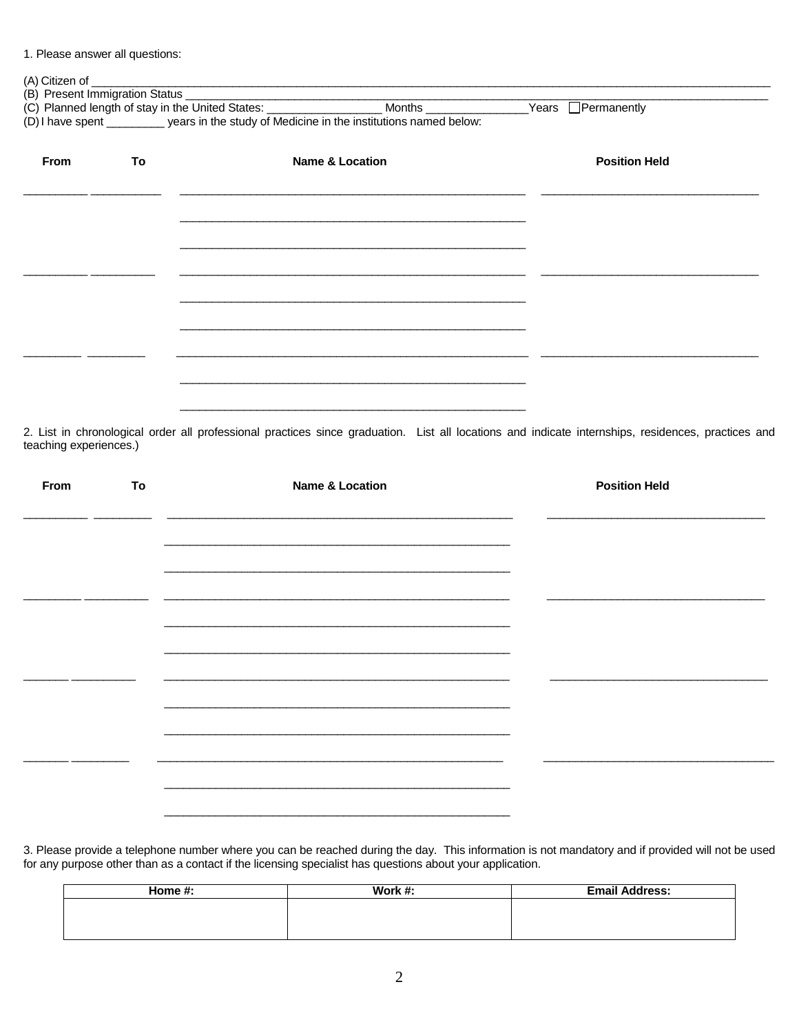1. Please answer all questions:

|             |    | (D) I have spent ___________ years in the study of Medicine in the institutions named below: |                      |  |
|-------------|----|----------------------------------------------------------------------------------------------|----------------------|--|
| <b>From</b> | To | Name & Location                                                                              | <b>Position Held</b> |  |
|             |    |                                                                                              |                      |  |
|             |    |                                                                                              |                      |  |
|             |    |                                                                                              |                      |  |
|             |    |                                                                                              |                      |  |
|             |    |                                                                                              |                      |  |
|             |    |                                                                                              |                      |  |

2. List in chronological order all professional practices since graduation. List all locations and indicate internships, residences, practices and teaching experiences.)

| From | To | <b>Name &amp; Location</b> | <b>Position Held</b> |
|------|----|----------------------------|----------------------|
|      |    |                            |                      |
|      |    |                            |                      |
|      |    |                            |                      |
|      |    |                            |                      |
|      |    |                            |                      |
|      |    |                            |                      |
|      |    |                            |                      |
|      |    |                            |                      |
|      |    |                            |                      |
|      |    |                            |                      |
|      |    |                            |                      |
|      |    |                            |                      |

3. Please provide a telephone number where you can be reached during the day. This information is not mandatory and if provided will not be used for any purpose other than as a contact if the licensing specialist has questions about your application.

| Home #: | Work #: | <b>Email Address:</b> |
|---------|---------|-----------------------|
|         |         |                       |
|         |         |                       |
|         |         |                       |